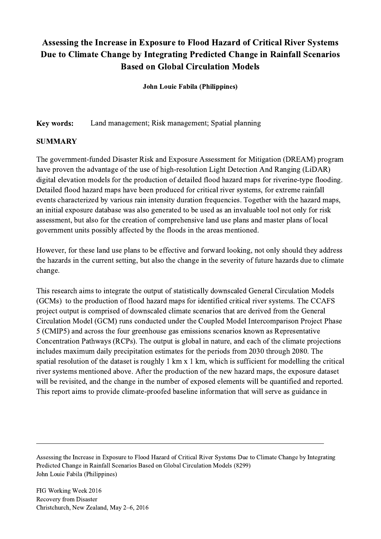## Assessing the Increase in Exposure to Flood Hazard of Critical River Systems Due to Climate Change by Integrating Predicted Change in Rainfall Scenarios Based on Global Circulation Models

John Louie Fabila (Philippines)

Key words: Land management; Risk management; Spatial planning

## SUMMARY

The government-funded Disaster Risk and Exposure Assessment for Mitigation (DREAM) program have proven the advantage of the use of high-resolution Light Detection And Ranging (LiDAR) digital elevation models for the production of detailed flood hazard maps for riverine-type flooding. Detailed flood hazard maps have been produced for critical river systems, for extreme rainfall events characterized by various rain intensity duration frequencies. Together with the hazard maps, an initial exposure database was also generated to be used as an invaluable tool not only for risk assessment, but also for the creation of comprehensive land use plans and master plans of local government units possibly affected by the floods in the areas mentioned.

However, for these land use plans to be effective and forward looking, not only should they address the hazards in the current setting, but also the change in the severity of future hazards due to climate change.

This research aims to integrate the output of statistically downscaled General Circulation Models (GCMs) to the production of flood hazard maps for identified critical river systems. The CCAFS project output is comprised of downscaled climate scenarios that are derived from the General Circulation Model (GCM) runs conducted under the Coupled Model Intercomparison Project Phase 5 (CMIP5) and across the four greenhouse gas emissions scenarios known as Representative Concentration Pathways (RCPs). The output is global in nature, and each of the climate projections includes maximum daily precipitation estimates for the periods from 2030 through 2080. The spatial resolution of the dataset is roughly 1 km x 1 km, which is sufficient for modelling the critical river systems mentioned above. After the production of the new hazard maps, the exposure dataset will be revisited, and the change in the number of exposed elements will be quantified and reported. This report aims to provide climate-proofed baseline information that will serve as guidance in

Assessing the Increase in Exposure to Flood Hazard of Critical River Systems Due to Climate Change by Integrating Predicted Change in Rainfall Scenarios Based on Global Circulation Models (8299) John Louie Fabila (Philippines)

 $\mathcal{L}_\mathcal{L} = \{ \mathcal{L}_\mathcal{L} = \{ \mathcal{L}_\mathcal{L} = \{ \mathcal{L}_\mathcal{L} = \{ \mathcal{L}_\mathcal{L} = \{ \mathcal{L}_\mathcal{L} = \{ \mathcal{L}_\mathcal{L} = \{ \mathcal{L}_\mathcal{L} = \{ \mathcal{L}_\mathcal{L} = \{ \mathcal{L}_\mathcal{L} = \{ \mathcal{L}_\mathcal{L} = \{ \mathcal{L}_\mathcal{L} = \{ \mathcal{L}_\mathcal{L} = \{ \mathcal{L}_\mathcal{L} = \{ \mathcal{L}_\mathcal{$ 

FIG Working Week 2016 Recovery from Disaster Christchurch, New Zealand, May 2–6, 2016